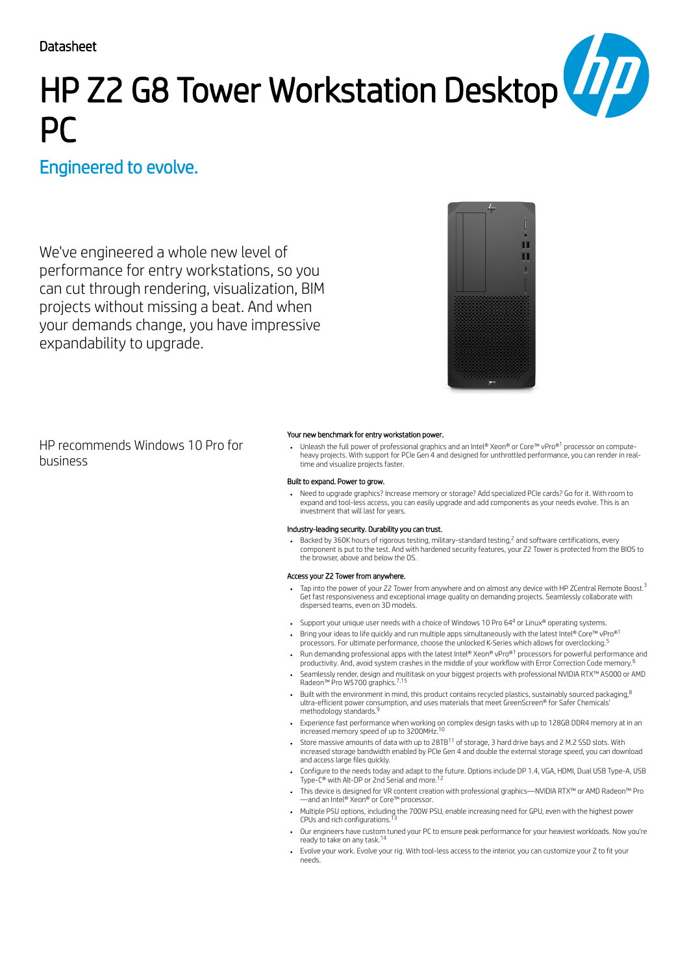**Datasheet** 

# HP Z2 G8 Tower Workstation Desktop PC

## Engineered to evolve.

We've engineered a whole new level of performance for entry workstations, so you can cut through rendering, visualization, BIM projects without missing a beat. And when your demands change, you have impressive expandability to upgrade.



HP recommends Windows 10 Pro for business

### Your new benchmark for entry workstation power.

Unleash the full power of professional graphics and an Intel® Xeon® or Core™ vPro®<sup>1</sup> processor on computeheavy projects. With support for PCIe Gen 4 and designed for unthrottled performance, you can render in realtime and visualize projects faster.

### Built to expand. Power to grow.

Need to upgrade graphics? Increase memory or storage? Add specialized PCIe cards? Go for it. With room to expand and tool-less access, you can easily upgrade and add components as your needs evolve. This is an investment that will last for years.

### Industry-leading security. Durability you can trust.

Backed by 360K hours of rigorous testing, military-standard testing, $^2$  and software certifications, every component is put to the test. And with hardened security features, your Z2 Tower is protected from the BIOS to the browser, above and below the OS.

### Access your Z2 Tower from anywhere.

- Tap into the power of your Z2 Tower from anywhere and on almost any device with HP ZCentral Remote Boost.<sup>3</sup> Get fast responsiveness and exceptional image quality on demanding projects. Seamlessly collaborate with dispersed teams, even on 3D models.
- Support your unique user needs with a choice of Windows 10 Pro 64 $4$  or Linux® operating systems.
- Bring your ideas to life quickly and run multiple apps simultaneously with the latest Intel® Core™ vPro®1 processors. For ultimate performance, choose the unlocked K-Series which allows for overclocking. 5
- Run demanding professional apps with the latest Intel® Xeon® vPro®1 processors for powerful performance and productivity. And, avoid system crashes in the middle of your workflow with Error Correction Code memory. 6
- Seamlessly render, design and multitask on your biggest projects with professional NVIDIA RTX™ A5000 or AMD Radeon™ Pro W5700 graphics.<sup>7,15</sup>
- Built with the environment in mind, this product contains recycled plastics, sustainably sourced packaging, <sup>8</sup> ultra-efficient power consumption, and uses materials that meet GreenScreen® for Safer Chemicals' methodology standards. 9
- Experience fast performance when working on complex design tasks with up to 128GB DDR4 memory at in an<br>increased memory speed of up to 3200MHz.<sup>10</sup>
- Store massive amounts of data with up to 28TB $^{11}$  of storage, 3 hard drive bays and 2 M.2 SSD slots. With increased storage bandwidth enabled by PCIe Gen 4 and double the external storage speed, you can download and access large files quickly.
- Configure to the needs today and adapt to the future. Options include DP 1.4, VGA, HDMI, Dual USB Type-A, USB<br>Type-C® with Alt-DP or 2nd Serial and more <sup>12</sup> Type-C® with Alt-DP or 2nd Serial and more.
- This device is designed for VR content creation with professional graphics—NVIDIA RTX™ or AMD Radeon™ Pro —and an Intel® Xeon® or Core™ processor.
- Multiple PSU options, including the 700W PSU, enable increasing need for GPU, even with the highest power<br>CPUs and rich configurations <sup>13</sup> CPUs and rich configurations.
- Our engineers have custom tuned your PC to ensure peak performance for your heaviest workloads. Now you're ready to take on any task. 14
- Evolve your work. Evolve your rig. With tool-less access to the interior, you can customize your Z to fit your needs.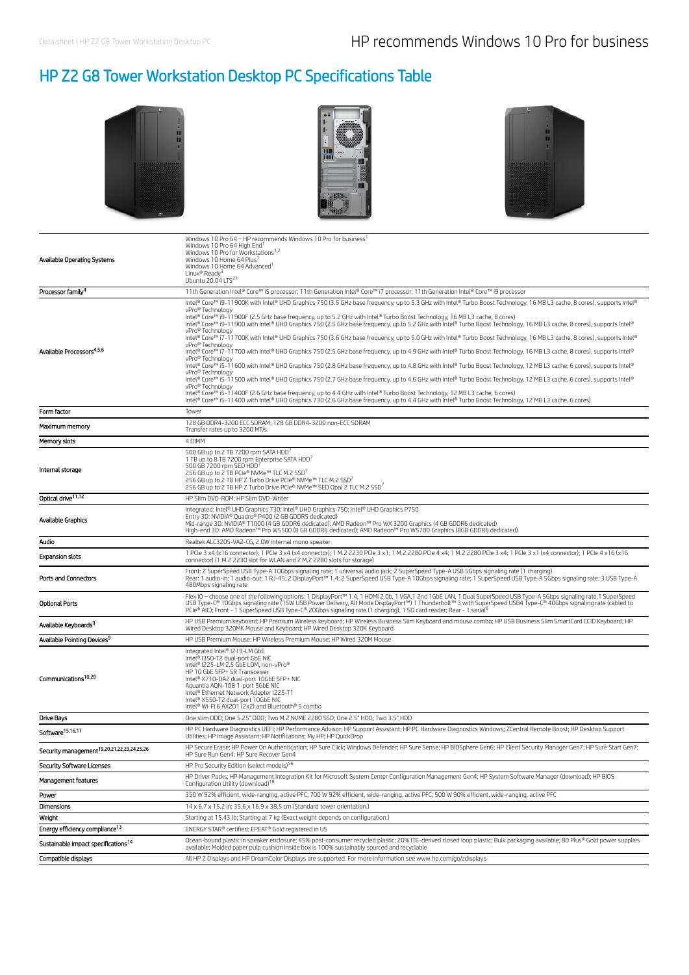# HP Z2 G8 Tower Workstation Desktop PC Specifications Table







| Available Operating Systems                            | Windows 10 Pro 64 - HP recommends Windows 10 Pro for business<br>Windows 10 Pro 64 High End <sup>1</sup><br>Windows 10 Pro for Workstations <sup>1,2</sup><br>Windows 10 Home 64 Plus<br>Windows 10 Home 64 Advanced<br>Linux® Ready <sup>3</sup><br>Ubuntu 20.04 LTS <sup>27</sup>                                                                                                                                                                                                                                                                                                                                                                                                                                                                                                                                                                                               |
|--------------------------------------------------------|-----------------------------------------------------------------------------------------------------------------------------------------------------------------------------------------------------------------------------------------------------------------------------------------------------------------------------------------------------------------------------------------------------------------------------------------------------------------------------------------------------------------------------------------------------------------------------------------------------------------------------------------------------------------------------------------------------------------------------------------------------------------------------------------------------------------------------------------------------------------------------------|
| Processor family <sup>4</sup>                          | 11th Generation Intel® Core™ i5 processor; 11th Generation Intel® Core™ i7 processor; 11th Generation Intel® Core™ i9 processor                                                                                                                                                                                                                                                                                                                                                                                                                                                                                                                                                                                                                                                                                                                                                   |
|                                                        | Intel® Core™ i9-11900K with Intel® UHD Graphics 750 (3.5 GHz base frequency, up to 5.3 GHz with Intel® Turbo Boost Technology, 16 MB L3 cache, 8 cores), supports Intel®<br>vPro® Technology<br>Intel® Core™ i9-11900F (2.5 GHz base frequency, up to 5.2 GHz with Intel® Turbo Boost Technology, 16 MB L3 cache, 8 cores)<br>Intel® Core™ i9-11900 with Intel® UHD Graphics 750 (2.5 GHz base frequency, up to 5.2 GHz with Intel® Turbo Boost Technology, 16 MB L3 cache, 8 cores), supports Intel®<br>vPro® Technology<br>Intel® Core™ i7-11700K with Intel® UHD Graphics 750 (3.6 GHz base frequency, up to 5.0 GHz with Intel® Turbo Boost Technology, 16 MB L3 cache, 8 cores), supports Intel®<br>vPro® Technology                                                                                                                                                         |
| Available Processors <sup>4,5,6</sup>                  | Intel® Core™ i7-11700 with Intel® UHD Graphics 750 (2.5 GHz base frequency, up to 4.9 GHz with Intel® Turbo Boost Technology, 16 MB L3 cache, 8 cores), supports Intel®<br>vPro® Technology<br>Intel® Core™ i5-11600 with Intel® UHD Graphics 750 (2.8 GHz base frequency, up to 4.8 GHz with Intel® Turbo Boost Technology, 12 MB L3 cache, 6 cores), supports Intel®<br>vPro® Technology<br>Intel® Core™ i5-11500 with Intel® UHD Graphics 750 (2.7 GHz base frequency, up to 4.6 GHz with Intel® Turbo Boost Technology, 12 MB L3 cache, 6 cores), supports Intel®<br>vPro® Technology<br>Intel® Core™ i5-11400F (2.6 GHz base frequency, up to 4.4 GHz with Intel® Turbo Boost Technology, 12 MB L3 cache, 6 cores)<br>Intel® Core™ i5-11400 with Intel® UHD Graphics 730 (2.6 GHz base frequency, up to 4.4 GHz with Intel® Turbo Boost Technology, 12 MB L3 cache, 6 cores) |
| Form factor                                            | Tower                                                                                                                                                                                                                                                                                                                                                                                                                                                                                                                                                                                                                                                                                                                                                                                                                                                                             |
| Maximum memory                                         | 128 GB DDR4-3200 ECC SDRAM; 128 GB DDR4-3200 non-ECC SDRAM<br>Transfer rates up to 3200 MT/s                                                                                                                                                                                                                                                                                                                                                                                                                                                                                                                                                                                                                                                                                                                                                                                      |
| Memory slots                                           | 4 DIMM                                                                                                                                                                                                                                                                                                                                                                                                                                                                                                                                                                                                                                                                                                                                                                                                                                                                            |
| Internal storage                                       | 500 GB up to 2 TB 7200 rpm SATA HDD'<br>1 TB up to 8 TB 7200 rpm Enterprise SATA HDD'<br>500 GB 7200 rpm SED HDD'<br>256 GB up to 2 TB PCIe® NVMe™ TLC M.2 SSD <sup>7</sup><br>256 GB up to 2 TB HP Z Turbo Drive PCIe® NVMe™ TLC M.2 SSD <sup>7</sup><br>256 GB up to 2 TB HP Z Turbo Drive PCIe® NVMe™ SED Opal 2 TLC M.2 SSD <sup>7</sup>                                                                                                                                                                                                                                                                                                                                                                                                                                                                                                                                      |
| Optical drive <sup>11,12</sup>                         | HP Slim DVD-ROM; HP Slim DVD-Writer                                                                                                                                                                                                                                                                                                                                                                                                                                                                                                                                                                                                                                                                                                                                                                                                                                               |
| Available Graphics                                     | Integrated: Intel® UHD Graphics 730; Intel® UHD Graphics 750; Intel® UHD Graphics P750<br>Entry 3D: NVIDIA® Quadro® P400 (2 GB GDDR5 dedicated)<br>Mid-range 3D: NVIDIA® T1000 (4 GB GDDR6 dedicated); AMD Radeon™ Pro WX 3200 Graphics (4 GB GDDR6 dedicated)<br>High-end 3D: AMD Radeon™ Pro W5500 (8 GB GDDR6 dedicated); AMD Radeon™ Pro W5700 Graphics (8GB GDDR6 dedicated)                                                                                                                                                                                                                                                                                                                                                                                                                                                                                                 |
| Audio                                                  | Realtek ALC3205-VA2-CG, 2.0W internal mono speaker                                                                                                                                                                                                                                                                                                                                                                                                                                                                                                                                                                                                                                                                                                                                                                                                                                |
| <b>Expansion slots</b>                                 | 1 PCle 3 x4 (x16 connector); 1 PCle 3 x4 (x4 connector); 1 M.2 2230 PCle 3 x1; 1 M.2 2280 PCle 4 x4; 1 M.2 2280 PCle 3 x4; 1 PCle 3 x1 (x4 connector); 1 PCle 4 x16 (x16<br>connector) (1 M.2 2230 slot for WLAN and 2 M.2 2280 slots for storage)                                                                                                                                                                                                                                                                                                                                                                                                                                                                                                                                                                                                                                |
| Ports and Connectors                                   | Front: 2 SuperSpeed USB Type-A 10Gbps signaling rate; 1 universal audio jack; 2 SuperSpeed Type-A USB 5Gbps signaling rate (1 charging)<br>Rear: 1 audio-in; 1 audio-out; 1 RJ-45; 2 DisplayPort™ 1.4; 2 SuperSpeed USB Type-A 10Gbps signaling rate; 1 SuperSpeed USB Type-A 5Gbps signaling rate; 3 USB Type-A<br>480Mbps signaling rate                                                                                                                                                                                                                                                                                                                                                                                                                                                                                                                                        |
| <b>Optional Ports</b>                                  | Flex IO - choose one of the following options: 1 DisplayPort™ 1.4, 1 HDMI 2.0b, 1 VGA,1 2nd 1GbE LAN, 1 Dual SuperSpeed USB Type-A 5Gbps signaling rate,1 SuperSpeed<br>USB Type-C® 10Gbps signaling rate (15W USB Power Delivery, Alt Mode DisplayPort™) 1 Thunderbolt™ 3 with SuperSpeed USB4 Type-C® 40Gbps signaling rate (cabled to<br>PCIe® AIC); Front - 1 SuperSpeed USB Type-C® 20Gbps signaling rate (1 charging), 1 SD card reader; Rear - 1 serial <sup>8</sup>                                                                                                                                                                                                                                                                                                                                                                                                       |
| Available Keyboards <sup>9</sup>                       | HP USB Premium keyboard; HP Premium Wireless keyboard; HP Wireless Business Slim Keyboard and mouse combo; HP USB Business Slim SmartCard CCID Keyboard; HP<br>Wired Desktop 320MK Mouse and Keyboard; HP Wired Desktop 320K Keyboard                                                                                                                                                                                                                                                                                                                                                                                                                                                                                                                                                                                                                                             |
| Available Pointing Devices <sup>9</sup>                | HP USB Premium Mouse; HP Wireless Premium Mouse; HP Wired 320M Mouse                                                                                                                                                                                                                                                                                                                                                                                                                                                                                                                                                                                                                                                                                                                                                                                                              |
| Communications <sup>10,28</sup>                        | Integrated Intel® I219-LM GbE<br>Intel® I350-T2 dual-port GbE NIC<br>Intel® I225-LM 2.5 GbE LOM, non-vPro®<br>HP 10 GbE SFP+ SR Transceiver<br>Intel® X710-DA2 dual-port 10GbE SFP+ NIC<br>Aguantia AQN-108 1-port 5GbE NIC<br>Intel® Ethernet Network Adapter I225-T1<br>Intel® X550-T2 dual-port 10GbE NIC<br>Intel® Wi-Fi 6 AX201 (2x2) and Bluetooth® 5 combo                                                                                                                                                                                                                                                                                                                                                                                                                                                                                                                 |
| <b>Drive Bays</b>                                      | One slim ODD; One 5.25" ODD; Two M.2 NVME 2280 SSD; One 2.5" HDD; Two 3.5" HDD                                                                                                                                                                                                                                                                                                                                                                                                                                                                                                                                                                                                                                                                                                                                                                                                    |
| Software <sup>15,16,17</sup>                           | HP PC Hardware Diagnostics UEFI; HP Performance Advisor; HP Support Assistant; HP PC Hardware Diagnostics Windows; ZCentral Remote Boost; HP Desktop Support<br>Utilities; HP Image Assistant; HP Notifications; My HP; HP QuickDrop                                                                                                                                                                                                                                                                                                                                                                                                                                                                                                                                                                                                                                              |
| Security management <sup>19,20,21,22,23,24,25,26</sup> | HP Secure Erase; HP Power On Authentication; HP Sure Click; Windows Defender; HP Sure Sense; HP BIOSphere Gen6; HP Client Security Manager Gen7; HP Sure Start Gen7;<br>HP Sure Run Gen4; HP Sure Recover Gen4                                                                                                                                                                                                                                                                                                                                                                                                                                                                                                                                                                                                                                                                    |
| <b>Security Software Licenses</b>                      | HP Pro Security Edition (select models) <sup>56</sup>                                                                                                                                                                                                                                                                                                                                                                                                                                                                                                                                                                                                                                                                                                                                                                                                                             |
| Management features                                    | HP Driver Packs; HP Management Integration Kit for Microsoft System Center Configuration Management Gen4; HP System Software Manager (download); HP BIOS<br>Configuration Utility (download) <sup>18</sup>                                                                                                                                                                                                                                                                                                                                                                                                                                                                                                                                                                                                                                                                        |
| Power                                                  | 350 W 92% efficient, wide-ranging, active PFC; 700 W 92% efficient, wide-ranging, active PFC; 500 W 90% efficient, wide-ranging, active PFC                                                                                                                                                                                                                                                                                                                                                                                                                                                                                                                                                                                                                                                                                                                                       |
| Dimensions                                             | 14 x 6.7 x 15.2 in; 35.6 x 16.9 x 38.5 cm (Standard tower orientation.)                                                                                                                                                                                                                                                                                                                                                                                                                                                                                                                                                                                                                                                                                                                                                                                                           |
| Weight                                                 | Starting at 15.43 lb; Starting at 7 kg (Exact weight depends on configuration.)                                                                                                                                                                                                                                                                                                                                                                                                                                                                                                                                                                                                                                                                                                                                                                                                   |
| Energy efficiency compliance <sup>13</sup>             | ENERGY STAR® certified; EPEAT® Gold registered in US                                                                                                                                                                                                                                                                                                                                                                                                                                                                                                                                                                                                                                                                                                                                                                                                                              |
| Sustainable impact specifications <sup>14</sup>        | Ocean-bound plastic in speaker enclosure; 45% post-consumer recycled plastic; 20% ITE-derived closed loop plastic; Bulk packaging available; 80 Plus® Gold power supplies<br>available; Molded paper pulp cushion inside box is 100% sustainably sourced and recyclable                                                                                                                                                                                                                                                                                                                                                                                                                                                                                                                                                                                                           |
| Compatible displays                                    | All HP Z Displays and HP DreamColor Displays are supported. For more information see www.hp.com/go/zdisplays                                                                                                                                                                                                                                                                                                                                                                                                                                                                                                                                                                                                                                                                                                                                                                      |